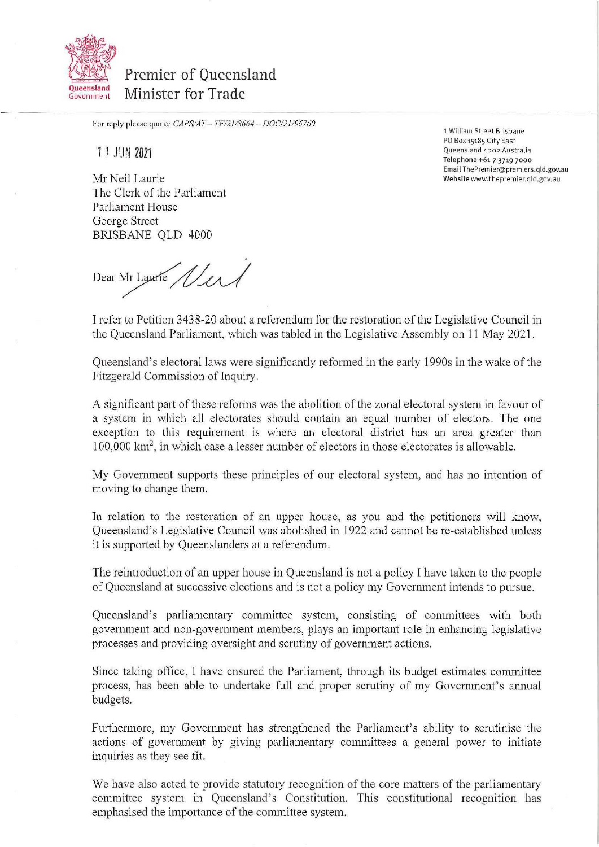

Premier of Oueensland Minister for Trade

For reply please quote: *CAPSIAT— 7F/21/8664 — DOC121196760* 

**11 JUN 2021** 

Mr Neil Laurie The Clerk of the Parliament Parliament House George Street BRISBANE QLD 4000

1 William Street Brisbane PO Box 15185 City East Queensland 4002 Australia Telephone +61 7 3719 7000 Email The Premier@ pre miers.gld.gov.au Website www.thepremier.gld.gov.au

Dear Mr Laurie Wer

I refer to Petition 3438-20 about a referendum for the restoration of the Legislative Council in the Queensland Parliament, which was tabled in the Legislative Assembly on 11 May 2021.

Queensland's electoral laws were significantly reformed in the early 1990s in the wake of the Fitzgerald Commission of Inquiry.

A significant part of these reforms was the abolition of the zonal electoral system in favour of a system in which all electorates should contain an equal number of electors. The one exception to this requirement is where an electoral district has an area greater than 100,000 km2, in which case a lesser number of electors in those electorates is allowable.

My Government supports these principles of our electoral system, and has no intention of moving to change them.

In relation to the restoration of an upper house, as you and the petitioners will know, Queensland's Legislative Council was abolished in 1922 and cannot be re-established unless it is supported by Queenslanders at a referendum.

The reintroduction of an upper house in Queensland is not a policy I have taken to the people of Queensland at successive elections and is not a policy my Government intends to pursue.

Queensland's parliamentary committee system, consisting of committees with both government and non-government members, plays an important role in enhancing legislative processes and providing oversight and scrutiny of government actions.

Since taking office, I have ensured the Parliament, through its budget estimates committee process, has been able to undertake full and proper scrutiny of my Government's annual budgets.

Furthermore, my Government has strengthened the Parliament's ability to scrutinise the actions of government by giving parliamentary committees a general power to initiate inquiries as they see fit.

We have also acted to provide statutory recognition of the core matters of the parliamentary committee system in Queensland's Constitution. This constitutional recognition has emphasised the importance of the committee system.